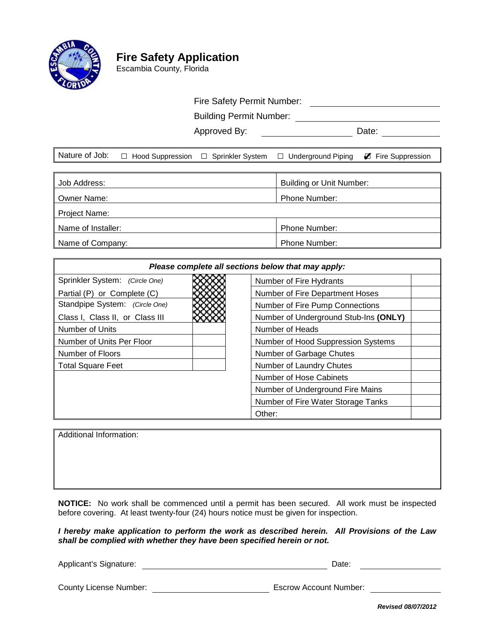

# **Fire Safety Application**

Escambia County, Florida

## Fire Safety Permit Number:

Building Permit Number:

Approved By: Date:

|  |  |  |  | Nature of Job: □ Hood Suppression □ Sprinkler System □ Underground Piping ■ Fire Suppression |  |
|--|--|--|--|----------------------------------------------------------------------------------------------|--|
|--|--|--|--|----------------------------------------------------------------------------------------------|--|

| Job Address:       | Building or Unit Number: |
|--------------------|--------------------------|
| Owner Name:        | Phone Number:            |
| Project Name:      |                          |
| Name of Installer: | <b>Phone Number:</b>     |
| Name of Company:   | <b>Phone Number:</b>     |

| Please complete all sections below that may apply: |                                       |  |  |  |
|----------------------------------------------------|---------------------------------------|--|--|--|
| Sprinkler System: (Circle One)                     | Number of Fire Hydrants               |  |  |  |
| Partial (P) or Complete (C)                        | Number of Fire Department Hoses       |  |  |  |
| Standpipe System: (Circle One)                     | Number of Fire Pump Connections       |  |  |  |
| Class I, Class II, or Class III                    | Number of Underground Stub-Ins (ONLY) |  |  |  |
| Number of Units                                    | Number of Heads                       |  |  |  |
| Number of Units Per Floor                          | Number of Hood Suppression Systems    |  |  |  |
| Number of Floors                                   | Number of Garbage Chutes              |  |  |  |
| <b>Total Square Feet</b>                           | Number of Laundry Chutes              |  |  |  |
|                                                    | Number of Hose Cabinets               |  |  |  |
|                                                    | Number of Underground Fire Mains      |  |  |  |
|                                                    | Number of Fire Water Storage Tanks    |  |  |  |
|                                                    | Other:                                |  |  |  |

Additional Information:

**NOTICE:** No work shall be commenced until a permit has been secured. All work must be inspected before covering. At least twenty-four (24) hours notice must be given for inspection.

*I hereby make application to perform the work as described herein. All Provisions of the Law shall be complied with whether they have been specified herein or not.*

Applicant's Signature: **Date:** Date: Date: Date: Date: Date: Date: Date: Date: Date: Date: Date: Date: Date: Date: Date: Date: Date: Date: Date: Date: Date: Date: Date: Date: Date: Date: Date: Date: Date: Date: Date: Date:

County License Number: Escrow Account Number:

*Revised 08/07/2012*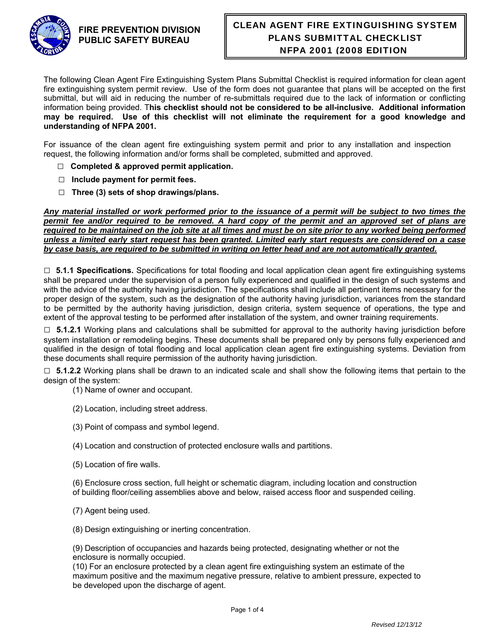

#### **FIRE PREVENTION DIVISION PUBLIC SAFETY BUREAU**

# CLEAN AGENT FIRE EXTINGUISHING SYSTEM PLANS SUBMITTAL CHECKLIST NFPA 2001 (2008 EDITION)

The following Clean Agent Fire Extinguishing System Plans Submittal Checklist is required information for clean agent fire extinguishing system permit review. Use of the form does not guarantee that plans will be accepted on the first submittal, but will aid in reducing the number of re-submittals required due to the lack of information or conflicting information being provided. T**his checklist should not be considered to be all-inclusive. Additional information may be required. Use of this checklist will not eliminate the requirement for a good knowledge and understanding of NFPA 2001.**

For issuance of the clean agent fire extinguishing system permit and prior to any installation and inspection request, the following information and/or forms shall be completed, submitted and approved.

- □ **Completed & approved permit application.**
- **□ Include payment for permit fees.**
- **□ Three (3) sets of shop drawings/plans.**

*Any material installed or work performed prior to the issuance of a permit will be subject to two times the permit fee and/or required to be removed. A hard copy of the permit and an approved set of plans are*  required to be maintained on the job site at all times and must be on site prior to any worked being performed *unless a limited early start request has been granted. Limited early start requests are considered on a case by case basis, are required to be submitted in writing on letter head and are not automatically granted.* 

□ **5.1.1 Specifications.** Specifications for total flooding and local application clean agent fire extinguishing systems shall be prepared under the supervision of a person fully experienced and qualified in the design of such systems and with the advice of the authority having jurisdiction. The specifications shall include all pertinent items necessary for the proper design of the system, such as the designation of the authority having jurisdiction, variances from the standard to be permitted by the authority having jurisdiction, design criteria, system sequence of operations, the type and extent of the approval testing to be performed after installation of the system, and owner training requirements.

□ **5.1.2.1** Working plans and calculations shall be submitted for approval to the authority having jurisdiction before system installation or remodeling begins. These documents shall be prepared only by persons fully experienced and qualified in the design of total flooding and local application clean agent fire extinguishing systems. Deviation from these documents shall require permission of the authority having jurisdiction.

□ **5.1.2.2** Working plans shall be drawn to an indicated scale and shall show the following items that pertain to the design of the system:

- (1) Name of owner and occupant.
- (2) Location, including street address.
- (3) Point of compass and symbol legend.
- (4) Location and construction of protected enclosure walls and partitions.
- (5) Location of fire walls.

(6) Enclosure cross section, full height or schematic diagram, including location and construction of building floor/ceiling assemblies above and below, raised access floor and suspended ceiling.

(7) Agent being used.

(8) Design extinguishing or inerting concentration.

(9) Description of occupancies and hazards being protected, designating whether or not the enclosure is normally occupied.

(10) For an enclosure protected by a clean agent fire extinguishing system an estimate of the maximum positive and the maximum negative pressure, relative to ambient pressure, expected to be developed upon the discharge of agent.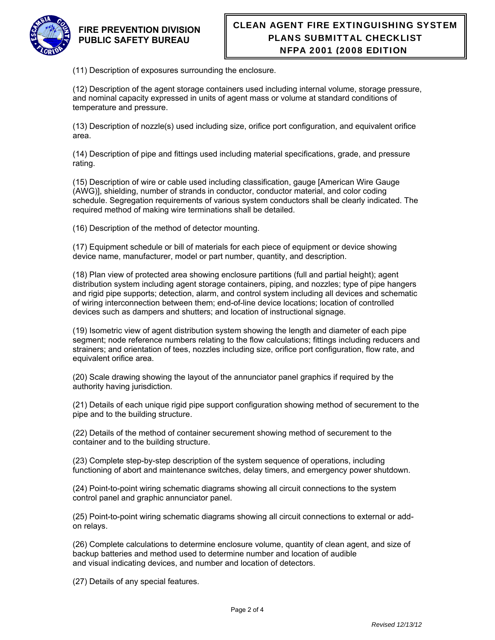

#### **FIRE PREVENTION DIVISION PUBLIC SAFETY BUREAU**

(11) Description of exposures surrounding the enclosure.

(12) Description of the agent storage containers used including internal volume, storage pressure, and nominal capacity expressed in units of agent mass or volume at standard conditions of temperature and pressure.

(13) Description of nozzle(s) used including size, orifice port configuration, and equivalent orifice area.

(14) Description of pipe and fittings used including material specifications, grade, and pressure rating.

(15) Description of wire or cable used including classification, gauge [American Wire Gauge (AWG)], shielding, number of strands in conductor, conductor material, and color coding schedule. Segregation requirements of various system conductors shall be clearly indicated. The required method of making wire terminations shall be detailed.

(16) Description of the method of detector mounting.

(17) Equipment schedule or bill of materials for each piece of equipment or device showing device name, manufacturer, model or part number, quantity, and description.

(18) Plan view of protected area showing enclosure partitions (full and partial height); agent distribution system including agent storage containers, piping, and nozzles; type of pipe hangers and rigid pipe supports; detection, alarm, and control system including all devices and schematic of wiring interconnection between them; end-of-line device locations; location of controlled devices such as dampers and shutters; and location of instructional signage.

(19) Isometric view of agent distribution system showing the length and diameter of each pipe segment; node reference numbers relating to the flow calculations; fittings including reducers and strainers; and orientation of tees, nozzles including size, orifice port configuration, flow rate, and equivalent orifice area.

(20) Scale drawing showing the layout of the annunciator panel graphics if required by the authority having jurisdiction.

(21) Details of each unique rigid pipe support configuration showing method of securement to the pipe and to the building structure.

(22) Details of the method of container securement showing method of securement to the container and to the building structure.

(23) Complete step-by-step description of the system sequence of operations, including functioning of abort and maintenance switches, delay timers, and emergency power shutdown.

(24) Point-to-point wiring schematic diagrams showing all circuit connections to the system control panel and graphic annunciator panel.

(25) Point-to-point wiring schematic diagrams showing all circuit connections to external or addon relays.

(26) Complete calculations to determine enclosure volume, quantity of clean agent, and size of backup batteries and method used to determine number and location of audible and visual indicating devices, and number and location of detectors.

(27) Details of any special features.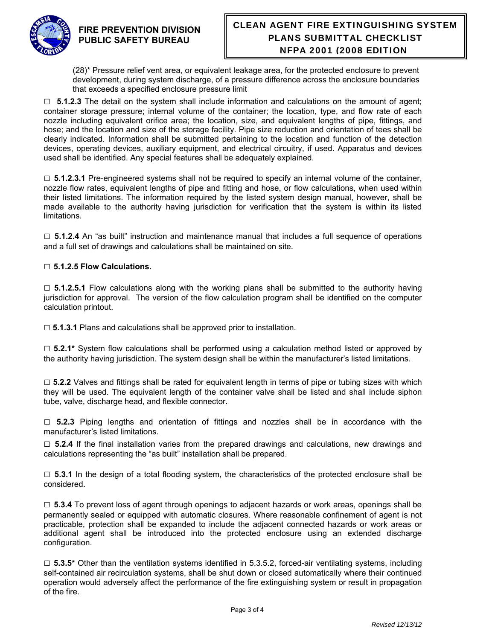

## CLEAN AGENT FIRE EXTINGUISHING SYSTEM PLANS SUBMITTAL CHECKLIST NFPA 2001 (2008 EDITION)

(28)\* Pressure relief vent area, or equivalent leakage area, for the protected enclosure to prevent development, during system discharge, of a pressure difference across the enclosure boundaries that exceeds a specified enclosure pressure limit

□ **5.1.2.3** The detail on the system shall include information and calculations on the amount of agent; container storage pressure; internal volume of the container; the location, type, and flow rate of each nozzle including equivalent orifice area; the location, size, and equivalent lengths of pipe, fittings, and hose; and the location and size of the storage facility. Pipe size reduction and orientation of tees shall be clearly indicated. Information shall be submitted pertaining to the location and function of the detection devices, operating devices, auxiliary equipment, and electrical circuitry, if used. Apparatus and devices used shall be identified. Any special features shall be adequately explained.

□ **5.1.2.3.1** Pre-engineered systems shall not be required to specify an internal volume of the container, nozzle flow rates, equivalent lengths of pipe and fitting and hose, or flow calculations, when used within their listed limitations. The information required by the listed system design manual, however, shall be made available to the authority having jurisdiction for verification that the system is within its listed limitations.

□ **5.1.2.4** An "as built" instruction and maintenance manual that includes a full sequence of operations and a full set of drawings and calculations shall be maintained on site.

#### □ **5.1.2.5 Flow Calculations.**

□ **5.1.2.5.1** Flow calculations along with the working plans shall be submitted to the authority having jurisdiction for approval. The version of the flow calculation program shall be identified on the computer calculation printout.

□ 5.1.3.1 Plans and calculations shall be approved prior to installation.

□ **5.2.1\*** System flow calculations shall be performed using a calculation method listed or approved by the authority having jurisdiction. The system design shall be within the manufacturer's listed limitations.

□ 5.2.2 Valves and fittings shall be rated for equivalent length in terms of pipe or tubing sizes with which they will be used. The equivalent length of the container valve shall be listed and shall include siphon tube, valve, discharge head, and flexible connector.

□ **5.2.3** Piping lengths and orientation of fittings and nozzles shall be in accordance with the manufacturer's listed limitations.

□ **5.2.4** If the final installation varies from the prepared drawings and calculations, new drawings and calculations representing the "as built" installation shall be prepared.

□ **5.3.1** In the design of a total flooding system, the characteristics of the protected enclosure shall be considered.

□ **5.3.4** To prevent loss of agent through openings to adjacent hazards or work areas, openings shall be permanently sealed or equipped with automatic closures. Where reasonable confinement of agent is not practicable, protection shall be expanded to include the adjacent connected hazards or work areas or additional agent shall be introduced into the protected enclosure using an extended discharge configuration.

□ **5.3.5\*** Other than the ventilation systems identified in 5.3.5.2, forced-air ventilating systems, including self-contained air recirculation systems, shall be shut down or closed automatically where their continued operation would adversely affect the performance of the fire extinguishing system or result in propagation of the fire.